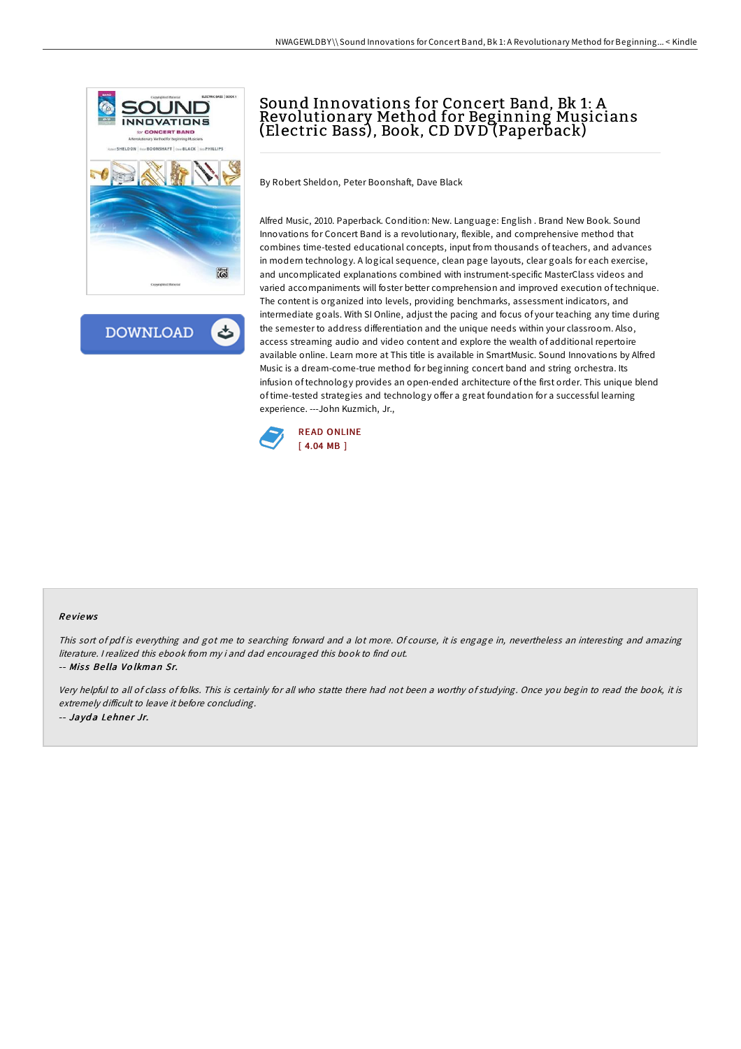

**DOWNLOAD** ٹ

## Sound Innovations for Concert Band, Bk 1: A Revolutionary Method for Beginning Musicians (Electric Bass), Book, CD DV D (Paperback)

By Robert Sheldon, Peter Boonshaft, Dave Black

Alfred Music, 2010. Paperback. Condition: New. Language: English . Brand New Book. Sound Innovations for Concert Band is a revolutionary, flexible, and comprehensive method that combines time-tested educational concepts, input from thousands of teachers, and advances in modern technology. A logical sequence, clean page layouts, clear goals for each exercise, and uncomplicated explanations combined with instrument-specific MasterClass videos and varied accompaniments will foster better comprehension and improved execution of technique. The content is organized into levels, providing benchmarks, assessment indicators, and intermediate goals. With SI Online, adjust the pacing and focus of your teaching any time during the semester to address differentiation and the unique needs within your classroom. Also, access streaming audio and video content and explore the wealth of additional repertoire available online. Learn more at This title is available in SmartMusic. Sound Innovations by Alfred Music is a dream-come-true method for beginning concert band and string orchestra. Its infusion of technology provides an open-ended architecture of the first order. This unique blend of time-tested strategies and technology offer a great foundation for a successful learning experience. ---John Kuzmich, Jr.,



## Re views

This sort of pdf is everything and got me to searching forward and <sup>a</sup> lot more. Of course, it is engage in, nevertheless an interesting and amazing literature. <sup>I</sup> realized this ebook from my i and dad encouraged this book to find out.

-- Miss Bella Volkman Sr.

Very helpful to all of class of folks. This is certainly for all who statte there had not been <sup>a</sup> worthy of studying. Once you begin to read the book, it is extremely difficult to leave it before concluding. -- Jayda Lehner Jr.